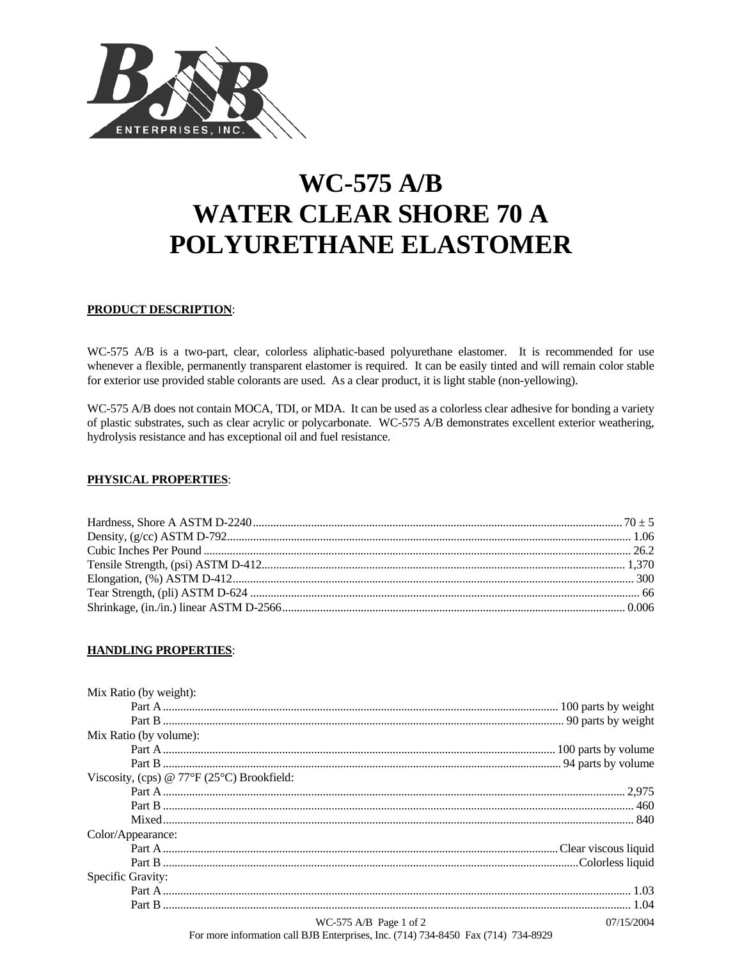

# **WC-575 A/B WATER CLEAR SHORE 70 A** POLYURETHANE ELASTOMER

# PRODUCT DESCRIPTION:

WC-575 A/B is a two-part, clear, colorless aliphatic-based polyurethane elastomer. It is recommended for use whenever a flexible, permanently transparent elastomer is required. It can be easily tinted and will remain color stable for exterior use provided stable colorants are used. As a clear product, it is light stable (non-yellowing).

WC-575 A/B does not contain MOCA, TDI, or MDA. It can be used as a colorless clear adhesive for bonding a variety of plastic substrates, such as clear acrylic or polycarbonate. WC-575 A/B demonstrates excellent exterior weathering, hydrolysis resistance and has exceptional oil and fuel resistance.

## **PHYSICAL PROPERTIES:**

## **HANDLING PROPERTIES:**

| Mix Ratio (by weight):                                    |                          |            |
|-----------------------------------------------------------|--------------------------|------------|
|                                                           |                          |            |
|                                                           |                          |            |
| Mix Ratio (by volume):                                    |                          |            |
|                                                           |                          |            |
|                                                           |                          |            |
| Viscosity, (cps) @ $77^{\circ}F(25^{\circ}C)$ Brookfield: |                          |            |
|                                                           |                          |            |
|                                                           |                          |            |
|                                                           |                          |            |
| Color/Appearance:                                         |                          |            |
|                                                           |                          |            |
|                                                           |                          |            |
| Specific Gravity:                                         |                          |            |
|                                                           |                          |            |
|                                                           |                          |            |
|                                                           | $WC-575$ A/B Page 1 of 2 | 07/15/2004 |

For more information call BJB Enterprises, Inc. (714) 734-8450 Fax (714) 734-8929